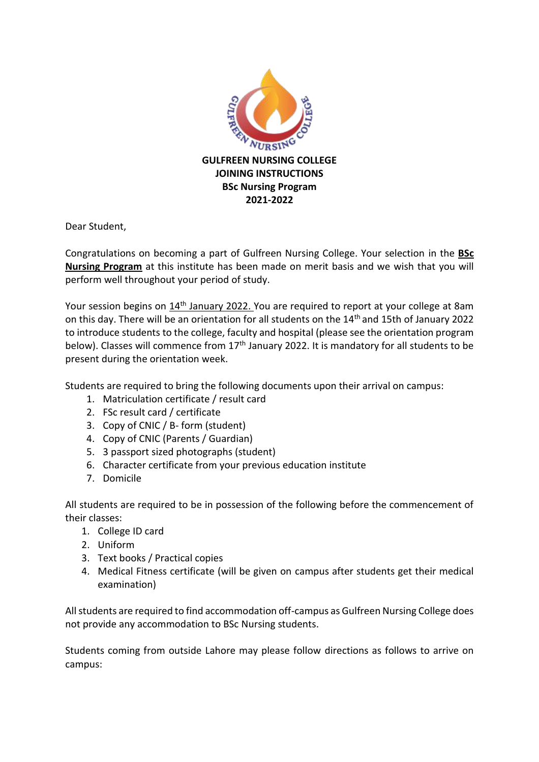

Dear Student,

Congratulations on becoming a part of Gulfreen Nursing College. Your selection in the **BSc Nursing Program** at this institute has been made on merit basis and we wish that you will perform well throughout your period of study.

Your session begins on 14<sup>th</sup> January 2022. You are required to report at your college at 8am on this day. There will be an orientation for all students on the 14th and 15th of January 2022 to introduce students to the college, faculty and hospital (please see the orientation program below). Classes will commence from  $17<sup>th</sup>$  January 2022. It is mandatory for all students to be present during the orientation week.

Students are required to bring the following documents upon their arrival on campus:

- 1. Matriculation certificate / result card
- 2. FSc result card / certificate
- 3. Copy of CNIC / B- form (student)
- 4. Copy of CNIC (Parents / Guardian)
- 5. 3 passport sized photographs (student)
- 6. Character certificate from your previous education institute
- 7. Domicile

All students are required to be in possession of the following before the commencement of their classes:

- 1. College ID card
- 2. Uniform
- 3. Text books / Practical copies
- 4. Medical Fitness certificate (will be given on campus after students get their medical examination)

All students are required to find accommodation off-campus as Gulfreen Nursing College does not provide any accommodation to BSc Nursing students.

Students coming from outside Lahore may please follow directions as follows to arrive on campus: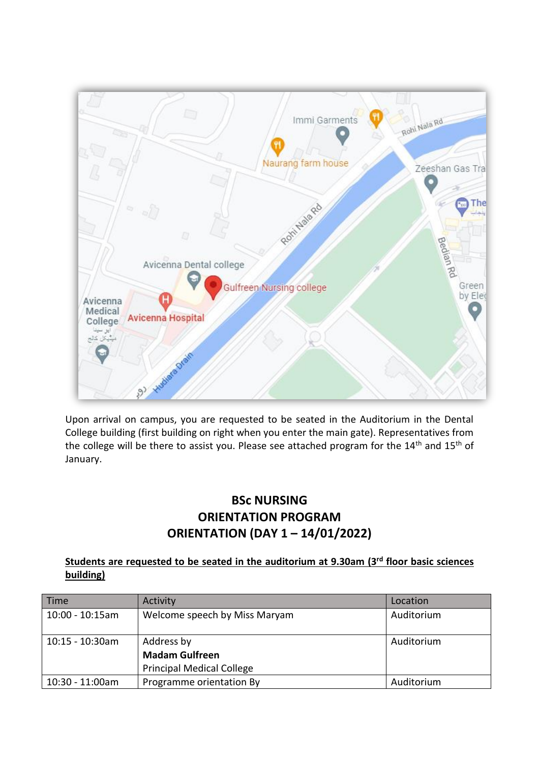

Upon arrival on campus, you are requested to be seated in the Auditorium in the Dental College building (first building on right when you enter the main gate). Representatives from the college will be there to assist you. Please see attached program for the 14<sup>th</sup> and 15<sup>th</sup> of January.

## **BSc NURSING ORIENTATION PROGRAM ORIENTATION (DAY 1 – 14/01/2022)**

## **Students are requested to be seated in the auditorium at 9.30am (3rd floor basic sciences building)**

| Time               | Activity                         | Location   |
|--------------------|----------------------------------|------------|
| $10:00 - 10:15am$  | Welcome speech by Miss Maryam    | Auditorium |
| $10:15 - 10:30$ am | Address by                       | Auditorium |
|                    | <b>Madam Gulfreen</b>            |            |
|                    | <b>Principal Medical College</b> |            |
| 10:30 - 11:00am    | Programme orientation By         | Auditorium |